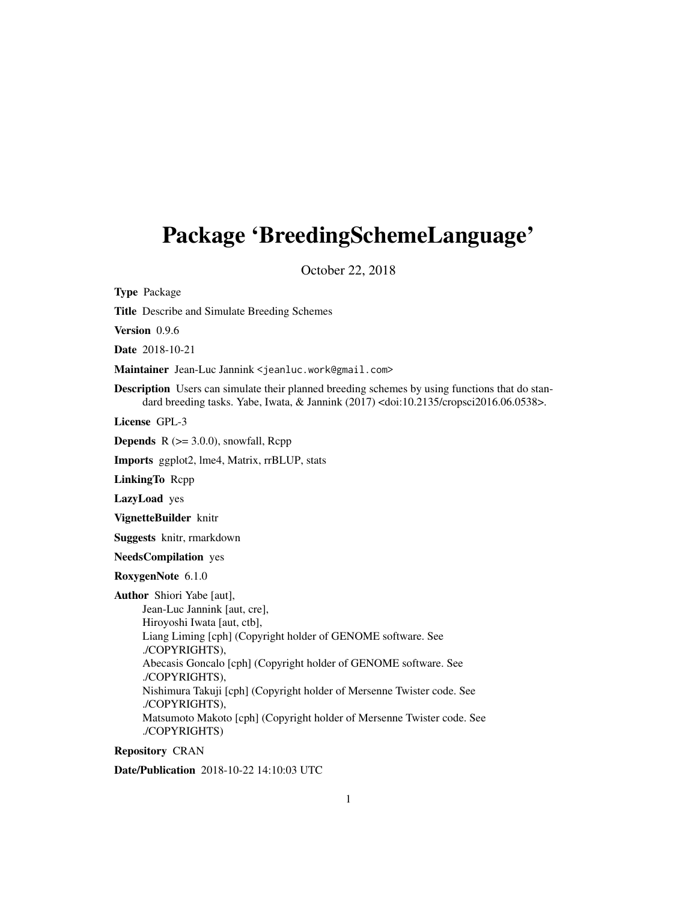## Package 'BreedingSchemeLanguage'

October 22, 2018

Type Package

Title Describe and Simulate Breeding Schemes

Version 0.9.6

Date 2018-10-21

Maintainer Jean-Luc Jannink <jeanluc.work@gmail.com>

Description Users can simulate their planned breeding schemes by using functions that do standard breeding tasks. Yabe, Iwata, & Jannink (2017) <doi:10.2135/cropsci2016.06.0538>.

License GPL-3

**Depends**  $R$  ( $>= 3.0.0$ ), snowfall, Rcpp

Imports ggplot2, lme4, Matrix, rrBLUP, stats

LinkingTo Rcpp

LazyLoad yes

VignetteBuilder knitr

Suggests knitr, rmarkdown

NeedsCompilation yes

RoxygenNote 6.1.0

Author Shiori Yabe [aut],

Jean-Luc Jannink [aut, cre], Hiroyoshi Iwata [aut, ctb], Liang Liming [cph] (Copyright holder of GENOME software. See ./COPYRIGHTS), Abecasis Goncalo [cph] (Copyright holder of GENOME software. See ./COPYRIGHTS), Nishimura Takuji [cph] (Copyright holder of Mersenne Twister code. See ./COPYRIGHTS), Matsumoto Makoto [cph] (Copyright holder of Mersenne Twister code. See ./COPYRIGHTS)

Repository CRAN

Date/Publication 2018-10-22 14:10:03 UTC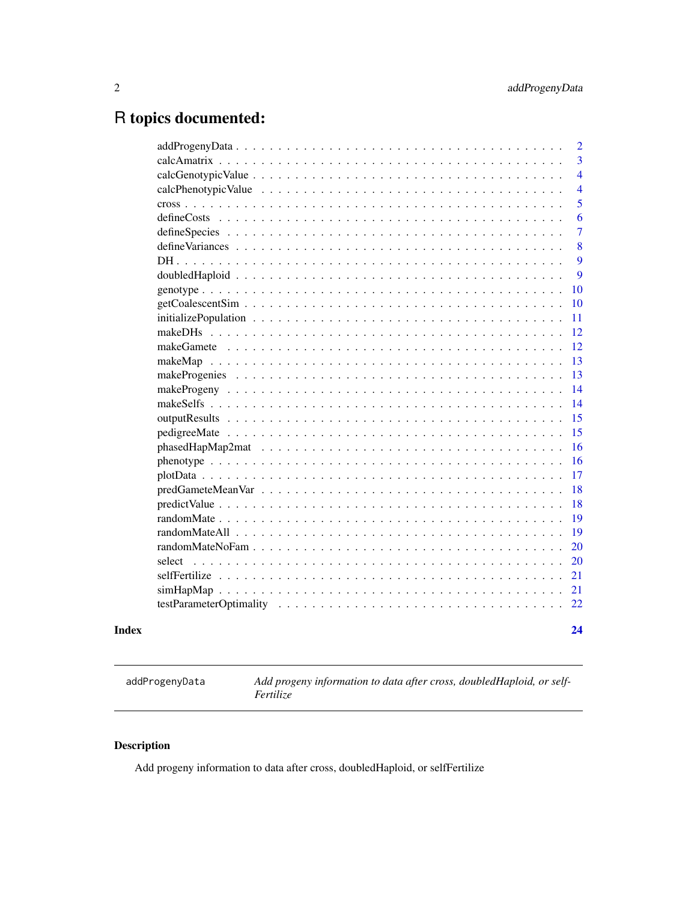## <span id="page-1-0"></span>R topics documented:

| Index |        | 24             |
|-------|--------|----------------|
|       |        | 22             |
|       |        | 21             |
|       |        | 21             |
|       | select | 20             |
|       |        | 20             |
|       |        | 19             |
|       |        | 19             |
|       |        | 18             |
|       |        | 18             |
|       |        | 17             |
|       |        | 16             |
|       |        | 16             |
|       |        | 15             |
|       |        | 15             |
|       |        | 14             |
|       |        | 14             |
|       |        | 13             |
|       |        | 13             |
|       |        | 12             |
|       |        | 12             |
|       |        | 11             |
|       |        | 10             |
|       |        | 10             |
|       |        | 9              |
|       |        | 9              |
|       |        | 8              |
|       |        | $\overline{7}$ |
|       |        | 6              |
|       |        | 5              |
|       |        | $\overline{4}$ |
|       |        | $\overline{4}$ |
|       |        | 3              |
|       |        | $\overline{2}$ |

addProgenyData *Add progeny information to data after cross, doubledHaploid, or self-Fertilize*

### Description

Add progeny information to data after cross, doubledHaploid, or selfFertilize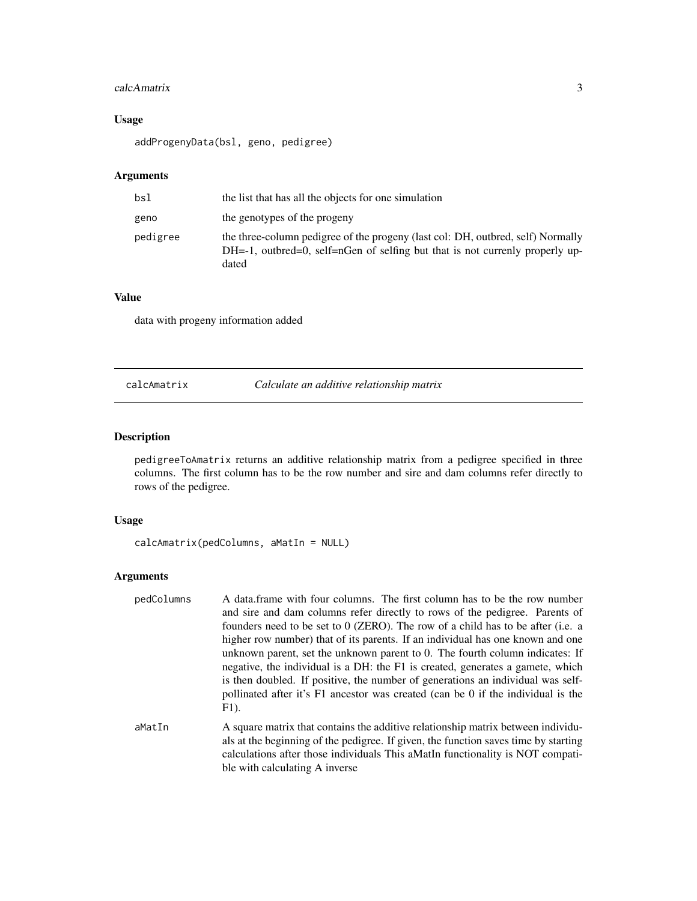### <span id="page-2-0"></span>calcAmatrix 3

### Usage

addProgenyData(bsl, geno, pedigree)

### Arguments

| bsl      | the list that has all the objects for one simulation                                                                                                                     |
|----------|--------------------------------------------------------------------------------------------------------------------------------------------------------------------------|
| geno     | the genotypes of the progeny                                                                                                                                             |
| pedigree | the three-column pedigree of the progeny (last col: DH, outbred, self) Normally<br>DH=-1, outbred=0, self=nGen of selfing but that is not currenly properly up-<br>dated |

### Value

data with progeny information added

### calcAmatrix *Calculate an additive relationship matrix*

### Description

pedigreeToAmatrix returns an additive relationship matrix from a pedigree specified in three columns. The first column has to be the row number and sire and dam columns refer directly to rows of the pedigree.

### Usage

```
calcAmatrix(pedColumns, aMatIn = NULL)
```
### Arguments

| pedColumns | A data.frame with four columns. The first column has to be the row number<br>and sire and dam columns refer directly to rows of the pedigree. Parents of<br>founders need to be set to 0 (ZERO). The row of a child has to be after (i.e. a<br>higher row number) that of its parents. If an individual has one known and one<br>unknown parent, set the unknown parent to 0. The fourth column indicates: If<br>negative, the individual is a DH: the F1 is created, generates a gamete, which<br>is then doubled. If positive, the number of generations an individual was self-<br>pollinated after it's F1 ancestor was created (can be 0 if the individual is the<br>$F1$ ). |
|------------|-----------------------------------------------------------------------------------------------------------------------------------------------------------------------------------------------------------------------------------------------------------------------------------------------------------------------------------------------------------------------------------------------------------------------------------------------------------------------------------------------------------------------------------------------------------------------------------------------------------------------------------------------------------------------------------|
| aMatIn     | A square matrix that contains the additive relationship matrix between individu-<br>als at the beginning of the pedigree. If given, the function saves time by starting                                                                                                                                                                                                                                                                                                                                                                                                                                                                                                           |

als at the beginning of the pedigree. If given, the function saves time by starting calculations after those individuals This aMatIn functionality is NOT compatible with calculating A inverse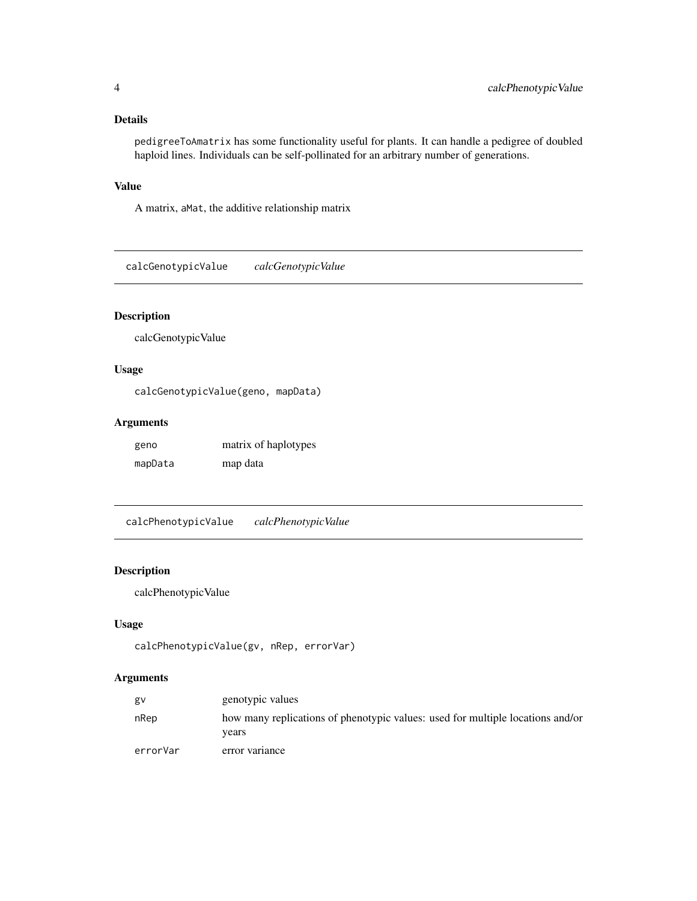### <span id="page-3-0"></span>Details

pedigreeToAmatrix has some functionality useful for plants. It can handle a pedigree of doubled haploid lines. Individuals can be self-pollinated for an arbitrary number of generations.

#### Value

A matrix, aMat, the additive relationship matrix

calcGenotypicValue *calcGenotypicValue*

### Description

calcGenotypicValue

### Usage

calcGenotypicValue(geno, mapData)

### Arguments

| geno    | matrix of haplotypes |
|---------|----------------------|
| mapData | map data             |

calcPhenotypicValue *calcPhenotypicValue*

#### Description

calcPhenotypicValue

#### Usage

```
calcPhenotypicValue(gv, nRep, errorVar)
```

| gv       | genotypic values                                                                        |
|----------|-----------------------------------------------------------------------------------------|
| nRep     | how many replications of phenotypic values: used for multiple locations and/or<br>vears |
| errorVar | error variance                                                                          |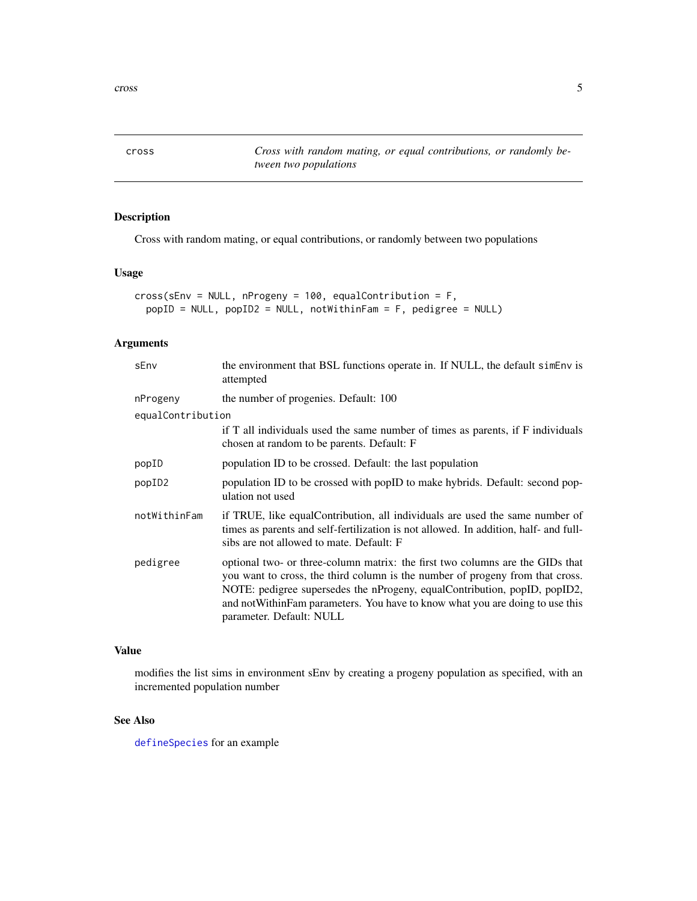<span id="page-4-0"></span>cross *Cross with random mating, or equal contributions, or randomly between two populations*

### Description

Cross with random mating, or equal contributions, or randomly between two populations

### Usage

```
cross(sEnv = NULL, nProgeny = 100, equalContribution = F,
 popID = NULL, popID2 = NULL, notWithinFam = F, pedigree = NULL)
```
### Arguments

| sEnv               | the environment that BSL functions operate in. If NULL, the default simenv is<br>attempted                                                                                                                                                                                                                                                                |
|--------------------|-----------------------------------------------------------------------------------------------------------------------------------------------------------------------------------------------------------------------------------------------------------------------------------------------------------------------------------------------------------|
| nProgeny           | the number of progenies. Default: 100                                                                                                                                                                                                                                                                                                                     |
| equalContribution  |                                                                                                                                                                                                                                                                                                                                                           |
|                    | if T all individuals used the same number of times as parents, if F individuals<br>chosen at random to be parents. Default: F                                                                                                                                                                                                                             |
| popID              | population ID to be crossed. Default: the last population                                                                                                                                                                                                                                                                                                 |
| popID <sub>2</sub> | population ID to be crossed with popID to make hybrids. Default: second pop-<br>ulation not used                                                                                                                                                                                                                                                          |
| notWithinFam       | if TRUE, like equalContribution, all individuals are used the same number of<br>times as parents and self-fertilization is not allowed. In addition, half- and full-<br>sibs are not allowed to mate. Default: F                                                                                                                                          |
| pedigree           | optional two- or three-column matrix: the first two columns are the GIDs that<br>you want to cross, the third column is the number of progeny from that cross.<br>NOTE: pedigree supersedes the nProgeny, equalContribution, popID, popID2,<br>and not Within Fam parameters. You have to know what you are doing to use this<br>parameter. Default: NULL |

### Value

modifies the list sims in environment sEnv by creating a progeny population as specified, with an incremented population number

### See Also

[defineSpecies](#page-6-1) for an example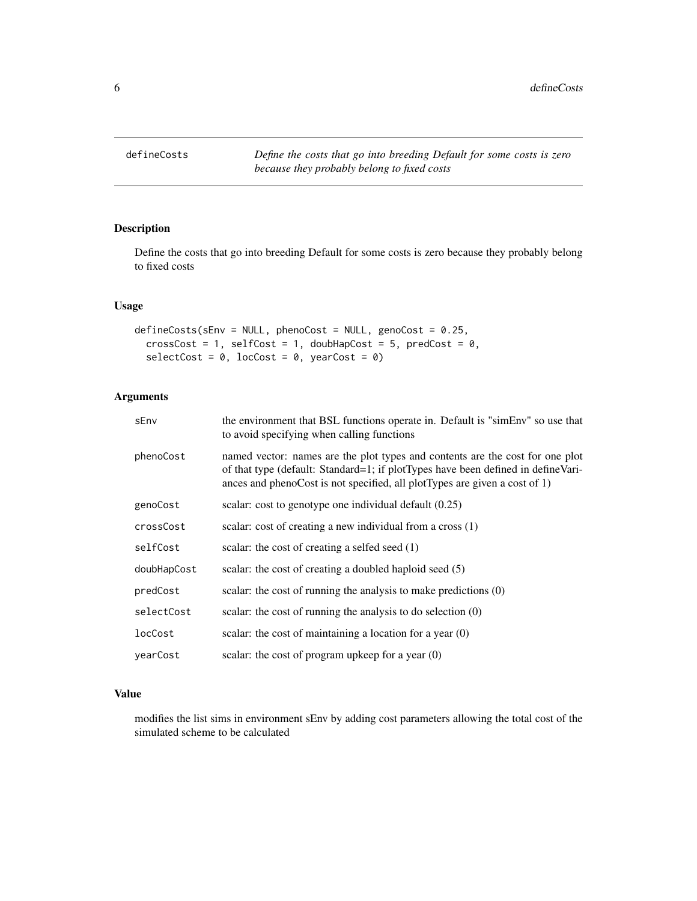<span id="page-5-0"></span>

### Description

Define the costs that go into breeding Default for some costs is zero because they probably belong to fixed costs

### Usage

```
defineCosts(sEnv = NULL, phenoCost = NULL, genoCost = 0.25,
  crossCost = 1, selfCost = 1, doubHapCost = 5, predCost = 0,
  selectCost = 0, locCost = 0, yearCost = 0)
```
### Arguments

| sEnv        | the environment that BSL functions operate in. Default is "simEnv" so use that<br>to avoid specifying when calling functions                                                                                                                    |
|-------------|-------------------------------------------------------------------------------------------------------------------------------------------------------------------------------------------------------------------------------------------------|
| phenoCost   | named vector: names are the plot types and contents are the cost for one plot<br>of that type (default: Standard=1; if plotTypes have been defined in defineVari-<br>ances and phenoCost is not specified, all plotTypes are given a cost of 1) |
| genoCost    | scalar: cost to genotype one individual default $(0.25)$                                                                                                                                                                                        |
| crossCost   | scalar: cost of creating a new individual from a cross (1)                                                                                                                                                                                      |
| selfCost    | scalar: the cost of creating a selfed seed (1)                                                                                                                                                                                                  |
| doubHapCost | scalar: the cost of creating a doubled haploid seed (5)                                                                                                                                                                                         |
| predCost    | scalar: the cost of running the analysis to make predictions (0)                                                                                                                                                                                |
| selectCost  | scalar: the cost of running the analysis to do selection $(0)$                                                                                                                                                                                  |
| locCost     | scalar: the cost of maintaining a location for a year $(0)$                                                                                                                                                                                     |
| vearCost    | scalar: the cost of program upkeep for a year $(0)$                                                                                                                                                                                             |

### Value

modifies the list sims in environment sEnv by adding cost parameters allowing the total cost of the simulated scheme to be calculated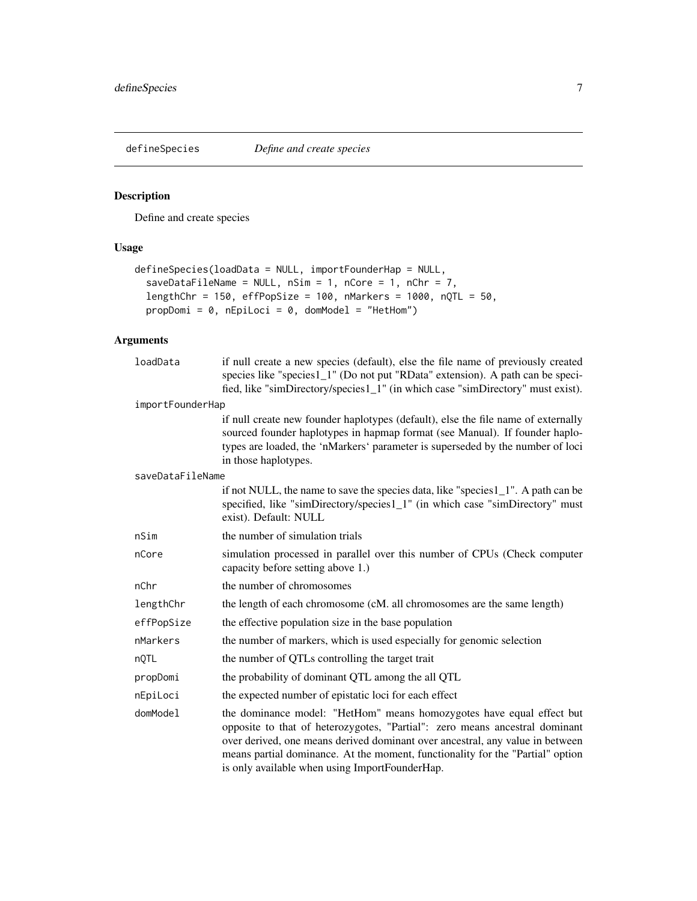<span id="page-6-1"></span><span id="page-6-0"></span>

### Description

Define and create species

### Usage

```
defineSpecies(loadData = NULL, importFounderHap = NULL,
  saveDataFileName = NULL, nSim = 1, nCore = 1, nChr = 7,
  lengthChr = 150, effPopSize = 100, nMarkers = 1000, nQTL = 50,
 propDomi = 0, nEpiLoci = 0, domModel = "HetHom")
```

| loadData         | if null create a new species (default), else the file name of previously created<br>species like "species1_1" (Do not put "RData" extension). A path can be speci-                                                                                                                                                                                                        |  |
|------------------|---------------------------------------------------------------------------------------------------------------------------------------------------------------------------------------------------------------------------------------------------------------------------------------------------------------------------------------------------------------------------|--|
|                  | fied, like "simDirectory/species1_1" (in which case "simDirectory" must exist).                                                                                                                                                                                                                                                                                           |  |
| importFounderHap |                                                                                                                                                                                                                                                                                                                                                                           |  |
|                  | if null create new founder haplotypes (default), else the file name of externally<br>sourced founder haplotypes in hapmap format (see Manual). If founder haplo-<br>types are loaded, the 'nMarkers' parameter is superseded by the number of loci<br>in those haplotypes.                                                                                                |  |
| saveDataFileName |                                                                                                                                                                                                                                                                                                                                                                           |  |
|                  | if not NULL, the name to save the species data, like "species1_1". A path can be<br>specified, like "simDirectory/species1_1" (in which case "simDirectory" must<br>exist). Default: NULL                                                                                                                                                                                 |  |
| nSim             | the number of simulation trials                                                                                                                                                                                                                                                                                                                                           |  |
| nCore            | simulation processed in parallel over this number of CPUs (Check computer<br>capacity before setting above 1.)                                                                                                                                                                                                                                                            |  |
| nChr             | the number of chromosomes                                                                                                                                                                                                                                                                                                                                                 |  |
| lengthChr        | the length of each chromosome (cM. all chromosomes are the same length)                                                                                                                                                                                                                                                                                                   |  |
| effPopSize       | the effective population size in the base population                                                                                                                                                                                                                                                                                                                      |  |
| nMarkers         | the number of markers, which is used especially for genomic selection                                                                                                                                                                                                                                                                                                     |  |
| nQTL             | the number of QTLs controlling the target trait                                                                                                                                                                                                                                                                                                                           |  |
| propDomi         | the probability of dominant QTL among the all QTL                                                                                                                                                                                                                                                                                                                         |  |
| nEpiLoci         | the expected number of epistatic loci for each effect                                                                                                                                                                                                                                                                                                                     |  |
| domModel         | the dominance model: "HetHom" means homozygotes have equal effect but<br>opposite to that of heterozygotes, "Partial": zero means ancestral dominant<br>over derived, one means derived dominant over ancestral, any value in between<br>means partial dominance. At the moment, functionality for the "Partial" option<br>is only available when using ImportFounderHap. |  |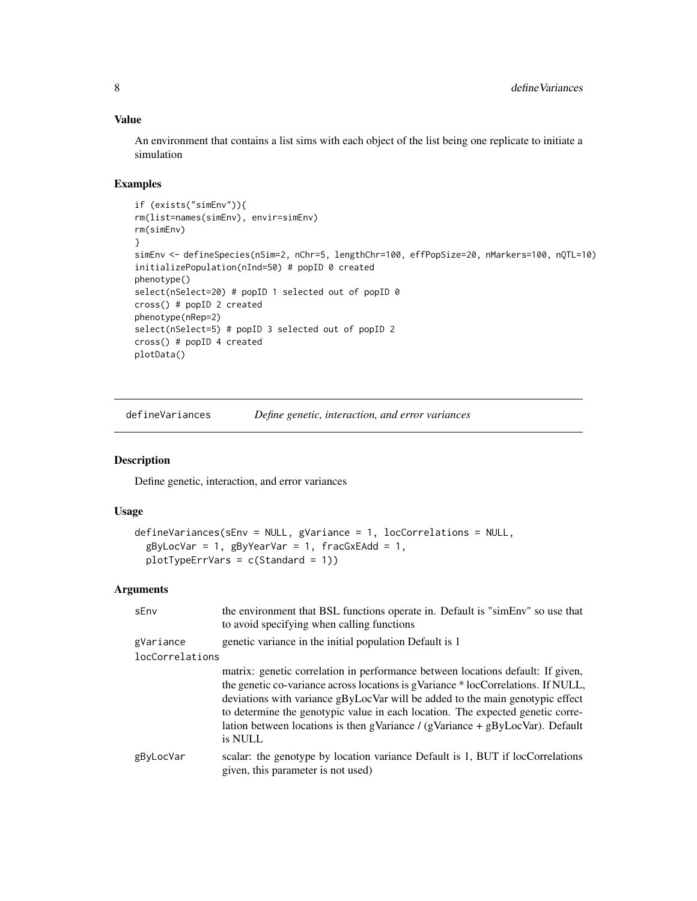An environment that contains a list sims with each object of the list being one replicate to initiate a simulation

### Examples

```
if (exists("simEnv")){
rm(list=names(simEnv), envir=simEnv)
rm(simEnv)
}
simEnv <- defineSpecies(nSim=2, nChr=5, lengthChr=100, effPopSize=20, nMarkers=100, nQTL=10)
initializePopulation(nInd=50) # popID 0 created
phenotype()
select(nSelect=20) # popID 1 selected out of popID 0
cross() # popID 2 created
phenotype(nRep=2)
select(nSelect=5) # popID 3 selected out of popID 2
cross() # popID 4 created
plotData()
```
defineVariances *Define genetic, interaction, and error variances*

#### Description

Define genetic, interaction, and error variances

### Usage

```
defineVariances(sEnv = NULL, gVariance = 1, locCorrelations = NULL,
 gByLocVar = 1, gByYearVar = 1, fracGxEAdd = 1,
 plotTypeErrVars = c(Standard = 1))
```

| sEnv                         | the environment that BSL functions operate in. Default is "simEnv" so use that<br>to avoid specifying when calling functions                                                                                                                                                                                                                                                                                                           |
|------------------------------|----------------------------------------------------------------------------------------------------------------------------------------------------------------------------------------------------------------------------------------------------------------------------------------------------------------------------------------------------------------------------------------------------------------------------------------|
| gVariance<br>locCorrelations | genetic variance in the initial population Default is 1                                                                                                                                                                                                                                                                                                                                                                                |
|                              | matrix: genetic correlation in performance between locations default: If given,<br>the genetic co-variance across locations is gVariance * locCorrelations. If NULL,<br>deviations with variance gByLocVar will be added to the main genotypic effect<br>to determine the genotypic value in each location. The expected genetic corre-<br>lation between locations is then gVariance / (gVariance + $gByLocVar$ ). Default<br>is NULL |
| gByLocVar                    | scalar: the genotype by location variance Default is 1, BUT if locCorrelations<br>given, this parameter is not used)                                                                                                                                                                                                                                                                                                                   |

<span id="page-7-0"></span>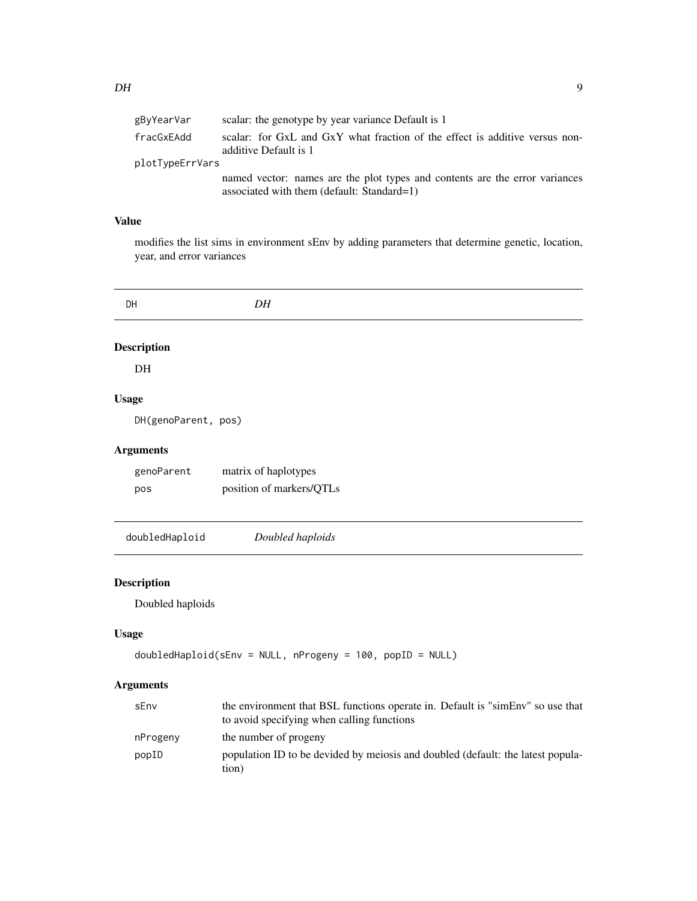<span id="page-8-0"></span>

| gByYearVar      | scalar: the genotype by year variance Default is 1                                                                        |
|-----------------|---------------------------------------------------------------------------------------------------------------------------|
| fracGxEAdd      | scalar: for GxL and GxY what fraction of the effect is additive versus non-<br>additive Default is 1                      |
| plotTypeErrVars |                                                                                                                           |
|                 | named vector: names are the plot types and contents are the error variances<br>associated with them (default: Standard=1) |

modifies the list sims in environment sEnv by adding parameters that determine genetic, location, year, and error variances

| DH                  | DH                       |  |
|---------------------|--------------------------|--|
| <b>Description</b>  |                          |  |
| DH                  |                          |  |
| <b>Usage</b>        |                          |  |
| DH(genoParent, pos) |                          |  |
| <b>Arguments</b>    |                          |  |
| genoParent          | matrix of haplotypes     |  |
| pos                 | position of markers/QTLs |  |
| doubledHaploid      | Doubled haploids         |  |

### Description

Doubled haploids

### Usage

```
doubledHaploid(sEnv = NULL, nProgeny = 100, popID = NULL)
```

| sEnv     | the environment that BSL functions operate in. Default is "simEnv" so use that<br>to avoid specifying when calling functions |
|----------|------------------------------------------------------------------------------------------------------------------------------|
| nProgeny | the number of progeny                                                                                                        |
| popID    | population ID to be devided by meiosis and doubled (default: the latest popula-<br>tion)                                     |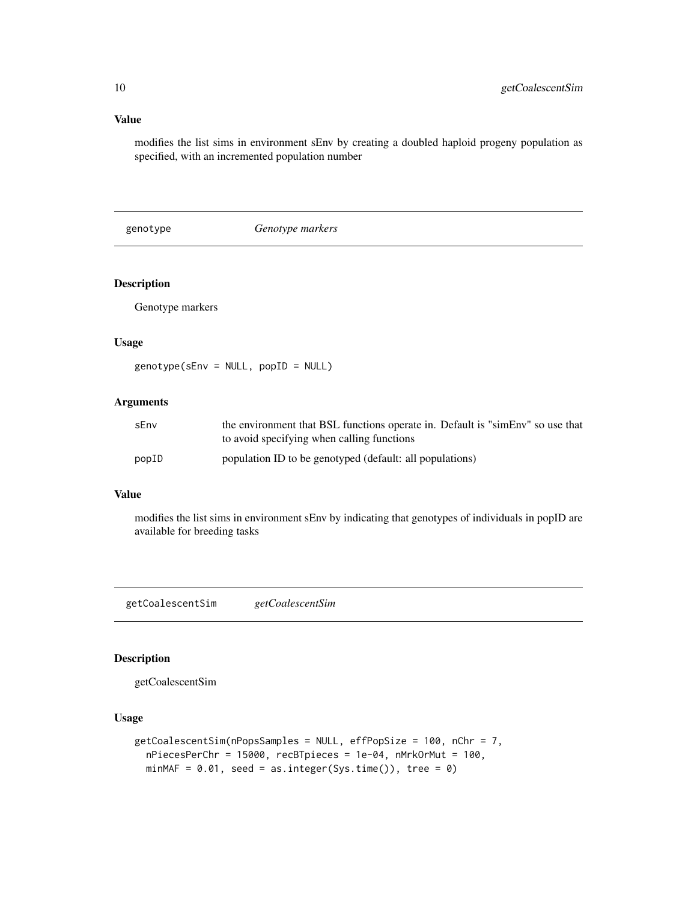modifies the list sims in environment sEnv by creating a doubled haploid progeny population as specified, with an incremented population number

genotype *Genotype markers*

### Description

Genotype markers

#### Usage

genotype(sEnv = NULL, popID = NULL)

### Arguments

| sEnv  | the environment that BSL functions operate in. Default is "simEnv" so use that |
|-------|--------------------------------------------------------------------------------|
|       | to avoid specifying when calling functions                                     |
| popID | population ID to be genotyped (default: all populations)                       |

### Value

modifies the list sims in environment sEnv by indicating that genotypes of individuals in popID are available for breeding tasks

getCoalescentSim *getCoalescentSim*

### Description

getCoalescentSim

### Usage

```
getCoalescentSim(nPopsSamples = NULL, effPopSize = 100, nChr = 7,
 nPiecesPerChr = 15000, recBTpieces = 1e-04, nMrkOrMut = 100,
 minMAF = 0.01, seed = as.integer(Sys.time()), tree = 0)
```
<span id="page-9-0"></span>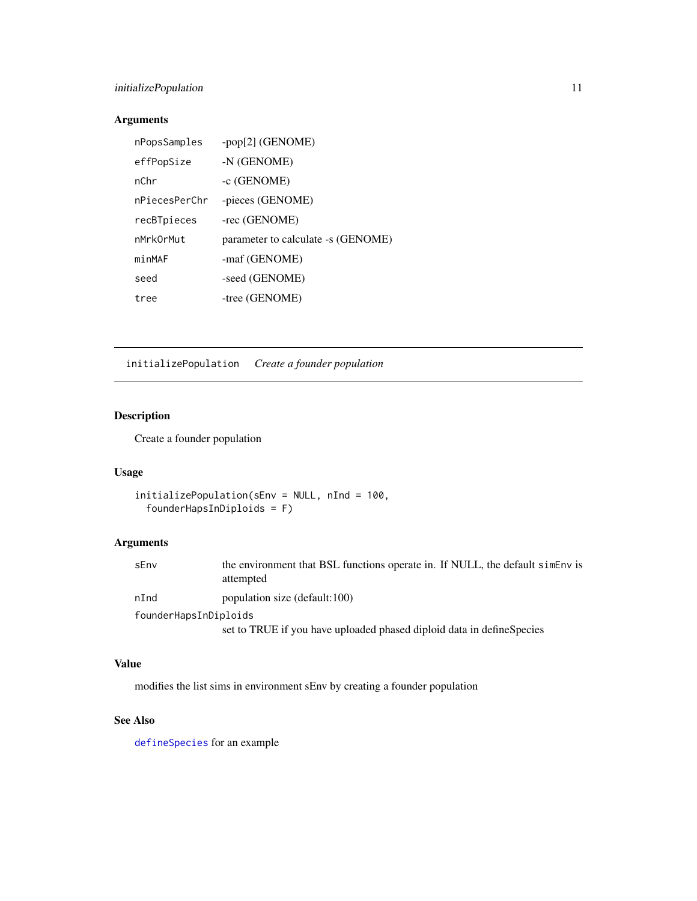### <span id="page-10-0"></span>initializePopulation 11

### Arguments

| nPopsSamples  | -pop[2] (GENOME)                   |
|---------------|------------------------------------|
| effPopSize    | -N (GENOME)                        |
| nChr          | -c (GENOME)                        |
| nPiecesPerChr | -pieces (GENOME)                   |
| recBTpieces   | -rec (GENOME)                      |
| nMrkOrMut     | parameter to calculate -s (GENOME) |
| minMAF        | -maf (GENOME)                      |
| seed          | -seed (GENOME)                     |
| tree          | -tree (GENOME)                     |

initializePopulation *Create a founder population*

### Description

Create a founder population

### Usage

```
initializePopulation(sEnv = NULL, nInd = 100,
 founderHapsInDiploids = F)
```
### Arguments

| sEnv                  | the environment that BSL functions operate in. If NULL, the default siment is<br>attempted |
|-----------------------|--------------------------------------------------------------------------------------------|
| nInd                  | population size (default:100)                                                              |
| founderHapsInDiploids |                                                                                            |
|                       |                                                                                            |

set to TRUE if you have uploaded phased diploid data in defineSpecies

### Value

modifies the list sims in environment sEnv by creating a founder population

### See Also

[defineSpecies](#page-6-1) for an example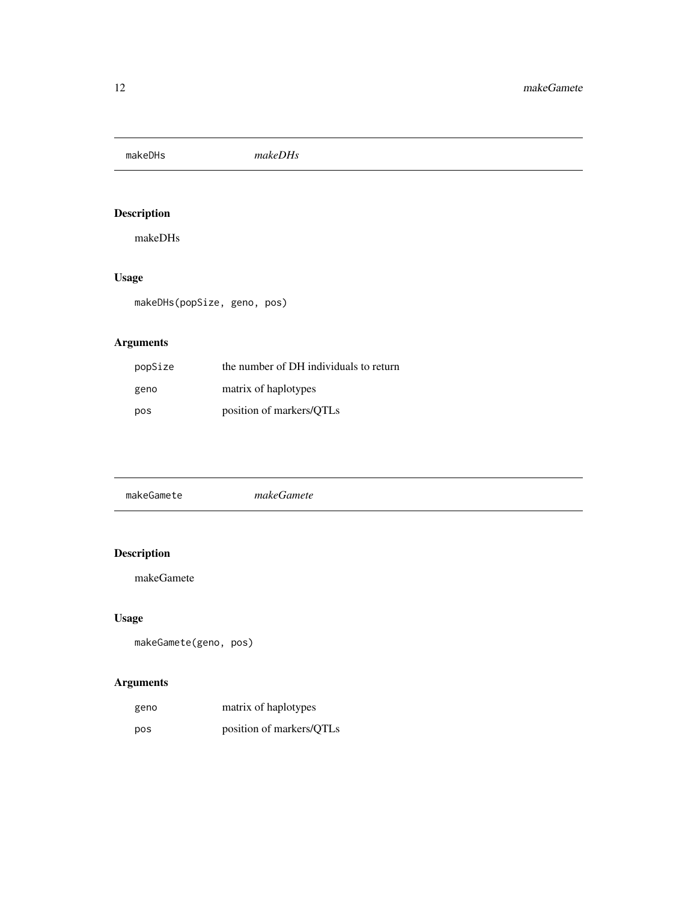<span id="page-11-0"></span>makeDHs *makeDHs*

### Description

makeDHs

### Usage

makeDHs(popSize, geno, pos)

### Arguments

| popSize | the number of DH individuals to return |
|---------|----------------------------------------|
| geno    | matrix of haplotypes                   |
| pos     | position of markers/OTLs               |

| makeGamete | makeGamete |  |
|------------|------------|--|
|            |            |  |

### Description

makeGamete

### Usage

```
makeGamete(geno, pos)
```

| geno | matrix of haplotypes     |
|------|--------------------------|
| pos  | position of markers/QTLs |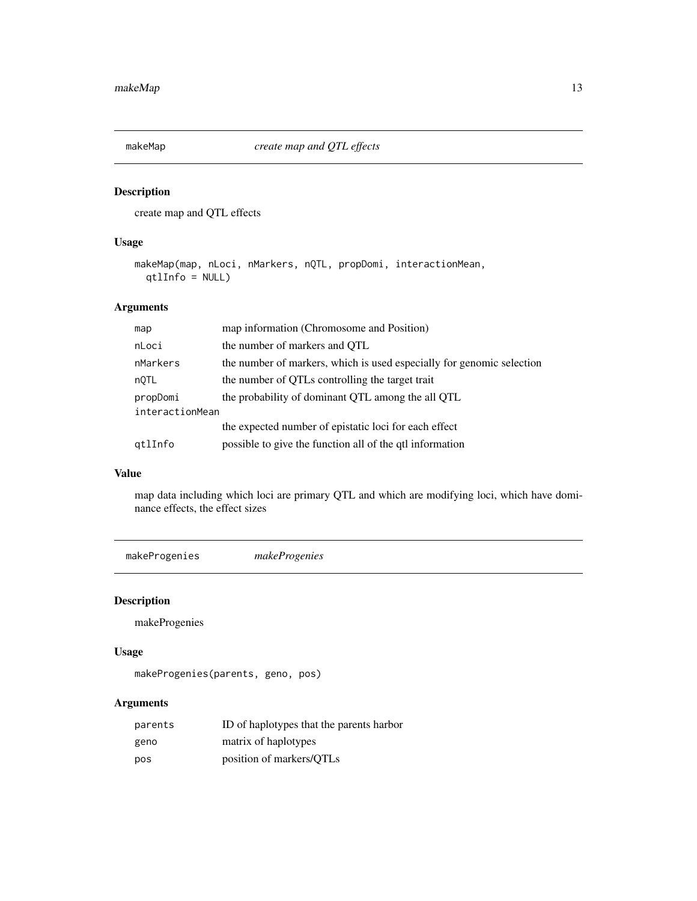<span id="page-12-0"></span>

### Description

create map and QTL effects

### Usage

```
makeMap(map, nLoci, nMarkers, nQTL, propDomi, interactionMean,
 qtlInfo = NULL)
```
### Arguments

| map             | map information (Chromosome and Position)                             |  |
|-----------------|-----------------------------------------------------------------------|--|
| nLoci           | the number of markers and OTL                                         |  |
| nMarkers        | the number of markers, which is used especially for genomic selection |  |
| nQTL            | the number of QTLs controlling the target trait                       |  |
| propDomi        | the probability of dominant QTL among the all QTL                     |  |
| interactionMean |                                                                       |  |
|                 | the expected number of epistatic loci for each effect                 |  |
| gtlInfo         | possible to give the function all of the qtl information              |  |

### Value

map data including which loci are primary QTL and which are modifying loci, which have dominance effects, the effect sizes

makeProgenies *makeProgenies*

### Description

makeProgenies

### Usage

```
makeProgenies(parents, geno, pos)
```

| parents | ID of haplotypes that the parents harbor |
|---------|------------------------------------------|
| geno    | matrix of haplotypes                     |
| pos     | position of markers/QTLs                 |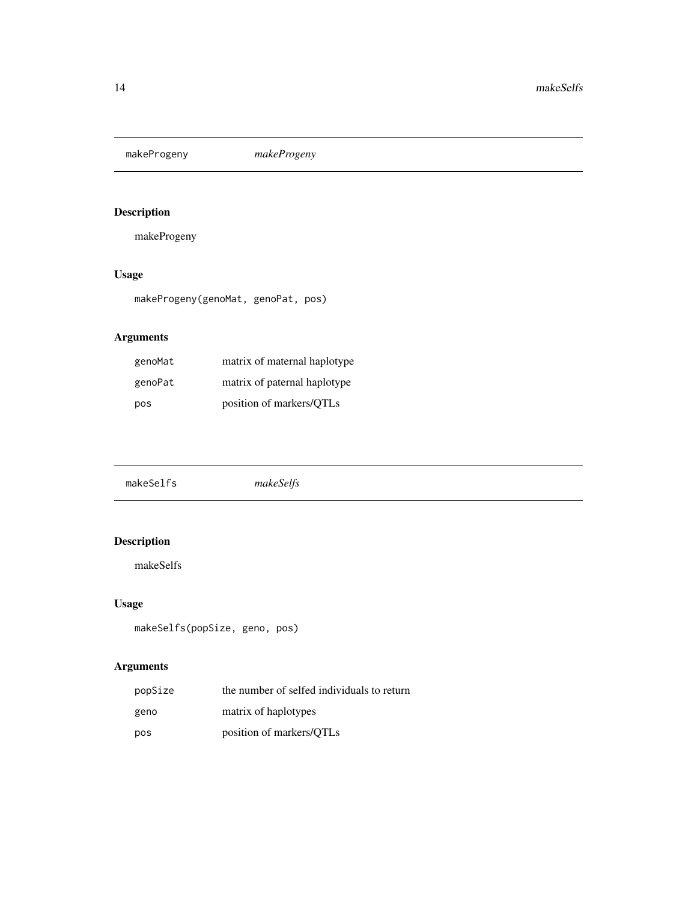<span id="page-13-0"></span>makeProgeny *makeProgeny*

### Description

makeProgeny

### Usage

makeProgeny(genoMat, genoPat, pos)

### Arguments

| genoMat | matrix of maternal haplotype |
|---------|------------------------------|
| genoPat | matrix of paternal haplotype |
| pos     | position of markers/QTLs     |

|--|--|--|

### Description

makeSelfs

### Usage

```
makeSelfs(popSize, geno, pos)
```

| popSize | the number of selfed individuals to return |
|---------|--------------------------------------------|
| geno    | matrix of haplotypes                       |
| pos     | position of markers/QTLs                   |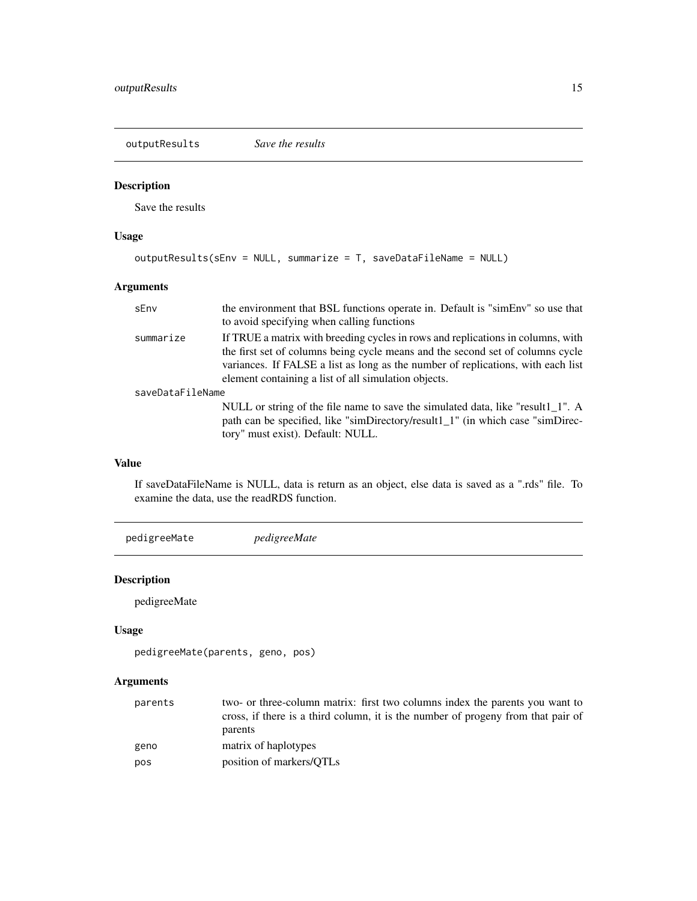<span id="page-14-0"></span>outputResults *Save the results*

### Description

Save the results

### Usage

```
outputResults(sEnv = NULL, summarize = T, saveDataFileName = NULL)
```
### Arguments

| sEnv             | the environment that BSL functions operate in. Default is "simEnv" so use that<br>to avoid specifying when calling functions                                                                                                                                                                                  |  |
|------------------|---------------------------------------------------------------------------------------------------------------------------------------------------------------------------------------------------------------------------------------------------------------------------------------------------------------|--|
| summarize        | If TRUE a matrix with breeding cycles in rows and replications in columns, with<br>the first set of columns being cycle means and the second set of columns cycle<br>variances. If FALSE a list as long as the number of replications, with each list<br>element containing a list of all simulation objects. |  |
| saveDataFileName |                                                                                                                                                                                                                                                                                                               |  |
|                  | NULL or string of the file name to save the simulated data, like "result1_1". A<br>path can be specified, like "simDirectory/result1_1" (in which case "simDirec-<br>tory" must exist). Default: NULL.                                                                                                        |  |

### Value

If saveDataFileName is NULL, data is return as an object, else data is saved as a ".rds" file. To examine the data, use the readRDS function.

pedigreeMate *pedigreeMate*

### Description

pedigreeMate

### Usage

```
pedigreeMate(parents, geno, pos)
```

| parents | two- or three-column matrix: first two columns index the parents you want to     |
|---------|----------------------------------------------------------------------------------|
|         | cross, if there is a third column, it is the number of progeny from that pair of |
|         | parents                                                                          |
| geno    | matrix of haplotypes                                                             |
| pos     | position of markers/QTLs                                                         |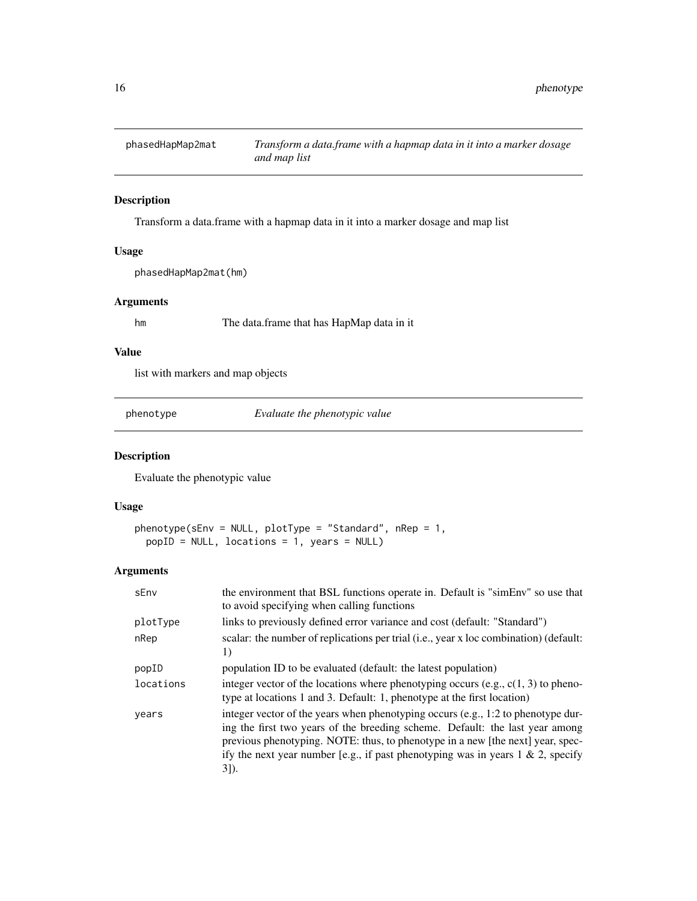<span id="page-15-0"></span>

### Description

Transform a data.frame with a hapmap data in it into a marker dosage and map list

### Usage

phasedHapMap2mat(hm)

#### Arguments

hm The data.frame that has HapMap data in it

### Value

list with markers and map objects

phenotype *Evaluate the phenotypic value*

### Description

Evaluate the phenotypic value

### Usage

```
phenotype(sEnv = NULL, plotType = "Standard", nRep = 1,
 popID = NULL, locations = 1, years = NULL)
```

| sEnv      | the environment that BSL functions operate in. Default is "simEnv" so use that<br>to avoid specifying when calling functions                                                                                                                                                                                                                      |
|-----------|---------------------------------------------------------------------------------------------------------------------------------------------------------------------------------------------------------------------------------------------------------------------------------------------------------------------------------------------------|
| plotType  | links to previously defined error variance and cost (default: "Standard")                                                                                                                                                                                                                                                                         |
| nRep      | scalar: the number of replications per trial (i.e., year x loc combination) (default:<br>1)                                                                                                                                                                                                                                                       |
| popID     | population ID to be evaluated (default: the latest population)                                                                                                                                                                                                                                                                                    |
| locations | integer vector of the locations where phenotyping occurs (e.g., $c(1, 3)$ to pheno-<br>type at locations 1 and 3. Default: 1, phenotype at the first location)                                                                                                                                                                                    |
| years     | integer vector of the years when phenotyping occurs (e.g., 1:2 to phenotype dur-<br>ing the first two years of the breeding scheme. Default: the last year among<br>previous phenotyping. NOTE: thus, to phenotype in a new [the next] year, spec-<br>ify the next year number [e.g., if past phenotyping was in years $1 \& 2$ , specify<br>31). |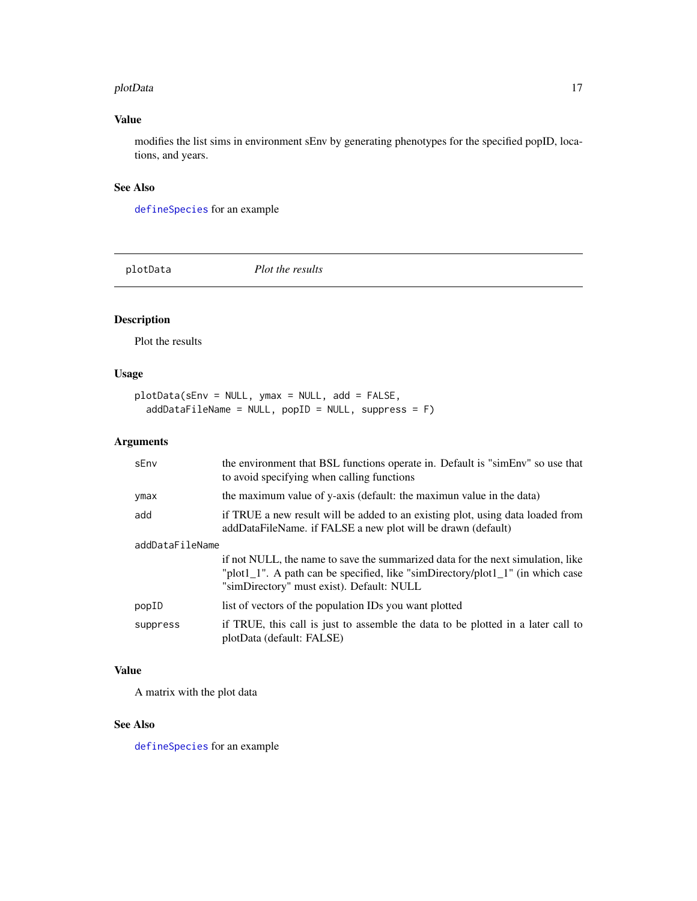#### <span id="page-16-0"></span>plotData 2002 and 2003 and 2008 and 2008 and 2008 and 2008 and 2008 and 2008 and 2008 and 2008 and 2008 and 20

### Value

modifies the list sims in environment sEnv by generating phenotypes for the specified popID, locations, and years.

### See Also

[defineSpecies](#page-6-1) for an example

plotData *Plot the results*

### Description

Plot the results

### Usage

plotData(sEnv = NULL, ymax = NULL, add = FALSE, addDataFileName = NULL, popID = NULL, suppress = F)

### Arguments

| sEnv            | the environment that BSL functions operate in. Default is "simEnv" so use that<br>to avoid specifying when calling functions                                                                                   |
|-----------------|----------------------------------------------------------------------------------------------------------------------------------------------------------------------------------------------------------------|
| ymax            | the maximum value of y-axis (default: the maximun value in the data)                                                                                                                                           |
| add             | if TRUE a new result will be added to an existing plot, using data loaded from<br>addDataFileName. if FALSE a new plot will be drawn (default)                                                                 |
| addDataFileName |                                                                                                                                                                                                                |
|                 | if not NULL, the name to save the summarized data for the next simulation, like<br>"plot1_1". A path can be specified, like "simDirectory/plot1_1" (in which case<br>"simDirectory" must exist). Default: NULL |
| popID           | list of vectors of the population IDs you want plotted                                                                                                                                                         |
| suppress        | if TRUE, this call is just to assemble the data to be plotted in a later call to<br>plotData (default: FALSE)                                                                                                  |

### Value

A matrix with the plot data

#### See Also

[defineSpecies](#page-6-1) for an example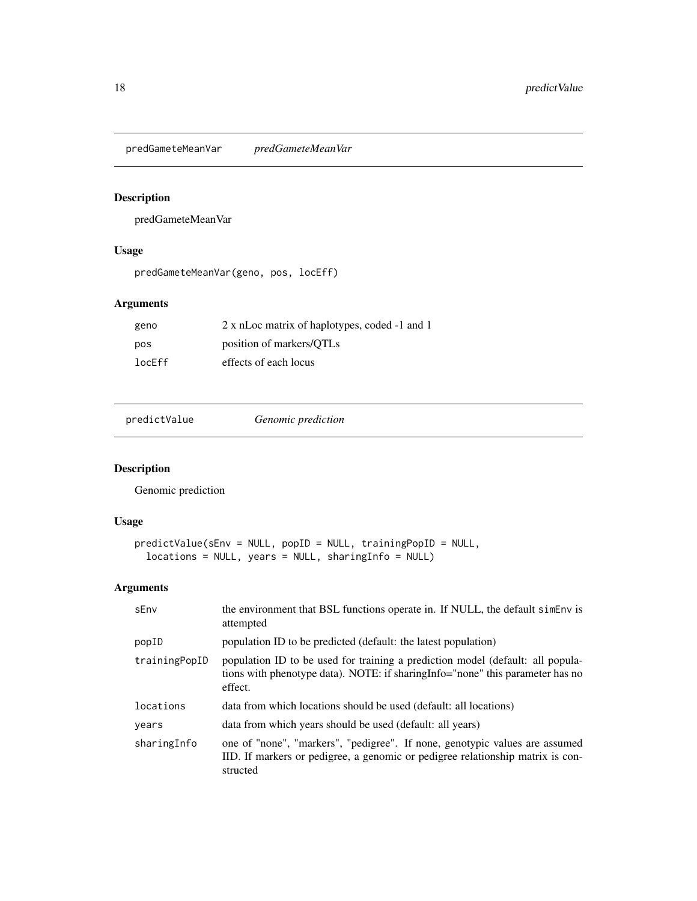<span id="page-17-0"></span>predGameteMeanVar *predGameteMeanVar*

### Description

predGameteMeanVar

### Usage

predGameteMeanVar(geno, pos, locEff)

### Arguments

| geno   | 2 x nLoc matrix of haplotypes, coded -1 and 1 |
|--------|-----------------------------------------------|
| pos    | position of markers/QTLs                      |
| locEff | effects of each locus                         |

predictValue *Genomic prediction*

### Description

Genomic prediction

### Usage

```
predictValue(sEnv = NULL, popID = NULL, trainingPopID = NULL,
 locations = NULL, years = NULL, sharingInfo = NULL)
```

| sEnv          | the environment that BSL functions operate in. If NULL, the default simenv is<br>attempted                                                                                  |
|---------------|-----------------------------------------------------------------------------------------------------------------------------------------------------------------------------|
| popID         | population ID to be predicted (default: the latest population)                                                                                                              |
| trainingPopID | population ID to be used for training a prediction model (default: all popula-<br>tions with phenotype data). NOTE: if sharing Info="none" this parameter has no<br>effect. |
| locations     | data from which locations should be used (default: all locations)                                                                                                           |
| years         | data from which years should be used (default: all years)                                                                                                                   |
| sharingInfo   | one of "none", "markers", "pedigree". If none, genotypic values are assumed<br>IID. If markers or pedigree, a genomic or pedigree relationship matrix is con-<br>structed   |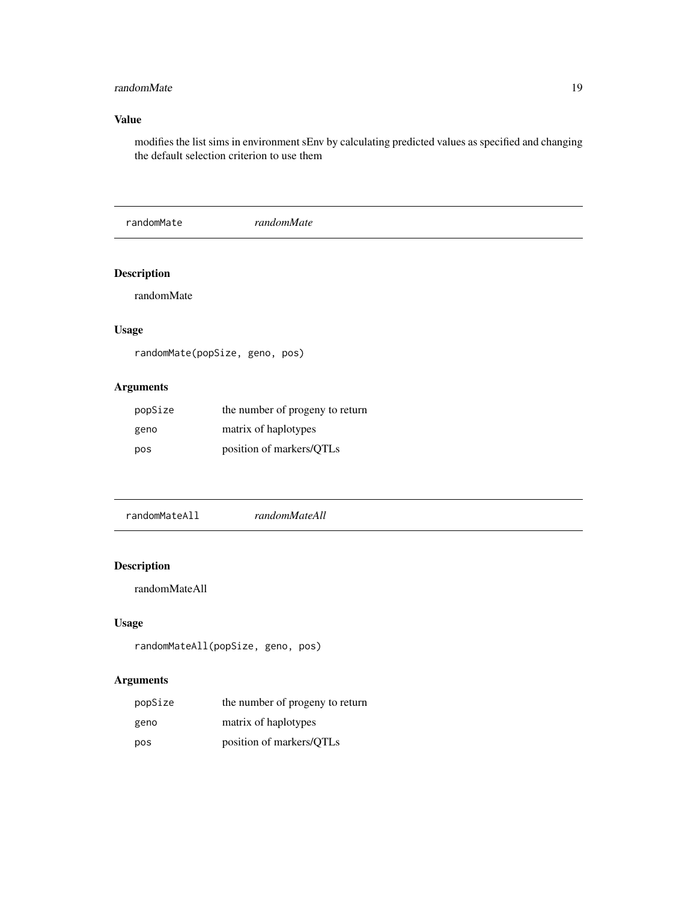### <span id="page-18-0"></span>randomMate 19

### Value

modifies the list sims in environment sEnv by calculating predicted values as specified and changing the default selection criterion to use them

randomMate *randomMate*

### Description

randomMate

### Usage

```
randomMate(popSize, geno, pos)
```
### Arguments

| popSize | the number of progeny to return |
|---------|---------------------------------|
| geno    | matrix of haplotypes            |
| pos     | position of markers/QTLs        |

randomMateAll *randomMateAll*

### Description

randomMateAll

### Usage

```
randomMateAll(popSize, geno, pos)
```

| popSize | the number of progeny to return |
|---------|---------------------------------|
| geno    | matrix of haplotypes            |
| pos     | position of markers/QTLs        |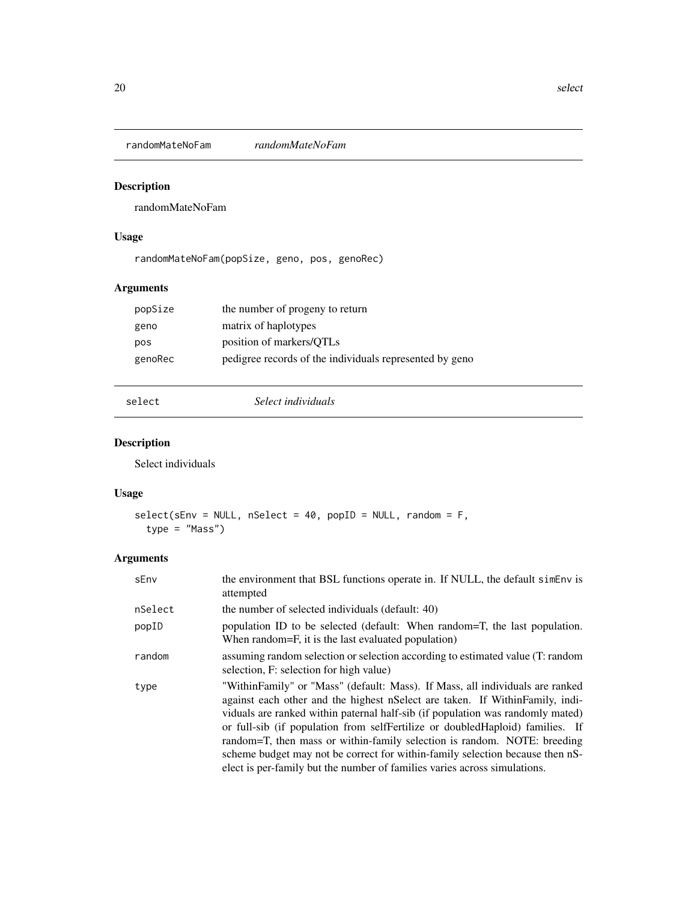<span id="page-19-0"></span>randomMateNoFam *randomMateNoFam*

### Description

randomMateNoFam

### Usage

randomMateNoFam(popSize, geno, pos, genoRec)

### Arguments

| the number of progeny to return                         |
|---------------------------------------------------------|
| matrix of haplotypes                                    |
| position of markers/QTLs                                |
| pedigree records of the individuals represented by geno |
|                                                         |

select *Select individuals*

### Description

Select individuals

### Usage

```
select(sEnv = NULL, nSelect = 40, popID = NULL, random = F,
  type = "Mass")
```

| sEnv    | the environment that BSL functions operate in. If NULL, the default simenv is<br>attempted                                                                                                                                                                                                                                                                                                                                                                                                                                                                                 |
|---------|----------------------------------------------------------------------------------------------------------------------------------------------------------------------------------------------------------------------------------------------------------------------------------------------------------------------------------------------------------------------------------------------------------------------------------------------------------------------------------------------------------------------------------------------------------------------------|
| nSelect | the number of selected individuals (default: 40)                                                                                                                                                                                                                                                                                                                                                                                                                                                                                                                           |
| popID   | population ID to be selected (default: When random=T, the last population.<br>When random=F, it is the last evaluated population)                                                                                                                                                                                                                                                                                                                                                                                                                                          |
| random  | assuming random selection or selection according to estimated value (T: random<br>selection, F: selection for high value)                                                                                                                                                                                                                                                                                                                                                                                                                                                  |
| type    | "WithinFamily" or "Mass" (default: Mass). If Mass, all individuals are ranked<br>against each other and the highest nSelect are taken. If WithinFamily, indi-<br>viduals are ranked within paternal half-sib (if population was randomly mated)<br>or full-sib (if population from selfFertilize or doubledHaploid) families. If<br>random=T, then mass or within-family selection is random. NOTE: breeding<br>scheme budget may not be correct for within-family selection because then nS-<br>elect is per-family but the number of families varies across simulations. |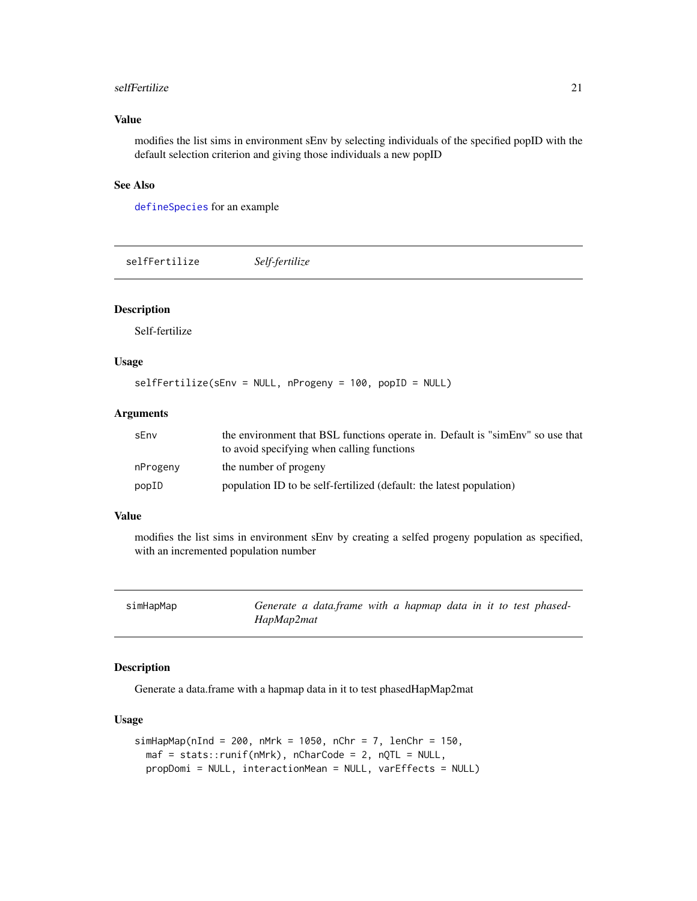#### <span id="page-20-0"></span>selfFertilize 21

### Value

modifies the list sims in environment sEnv by selecting individuals of the specified popID with the default selection criterion and giving those individuals a new popID

### See Also

[defineSpecies](#page-6-1) for an example

selfFertilize *Self-fertilize*

#### Description

Self-fertilize

### Usage

selfFertilize(sEnv = NULL, nProgeny = 100, popID = NULL)

### **Arguments**

| sEnv     | the environment that BSL functions operate in. Default is "simEnv" so use that<br>to avoid specifying when calling functions |
|----------|------------------------------------------------------------------------------------------------------------------------------|
| nProgeny | the number of progeny                                                                                                        |
| popID    | population ID to be self-fertilized (default: the latest population)                                                         |

### Value

modifies the list sims in environment sEnv by creating a selfed progeny population as specified, with an incremented population number

| simHapMap | Generate a data.frame with a hapmap data in it to test phased- |  |  |  |  |  |
|-----------|----------------------------------------------------------------|--|--|--|--|--|
|           | HapMap2mat                                                     |  |  |  |  |  |

#### Description

Generate a data.frame with a hapmap data in it to test phasedHapMap2mat

### Usage

```
simHapMap(nInd = 200, nMrk = 1050, nChr = 7, lenChr = 150,
 maf = stats::runif(nMrk), nCharCode = 2, nQTL = NULL,
 propDomi = NULL, interactionMean = NULL, varEffects = NULL)
```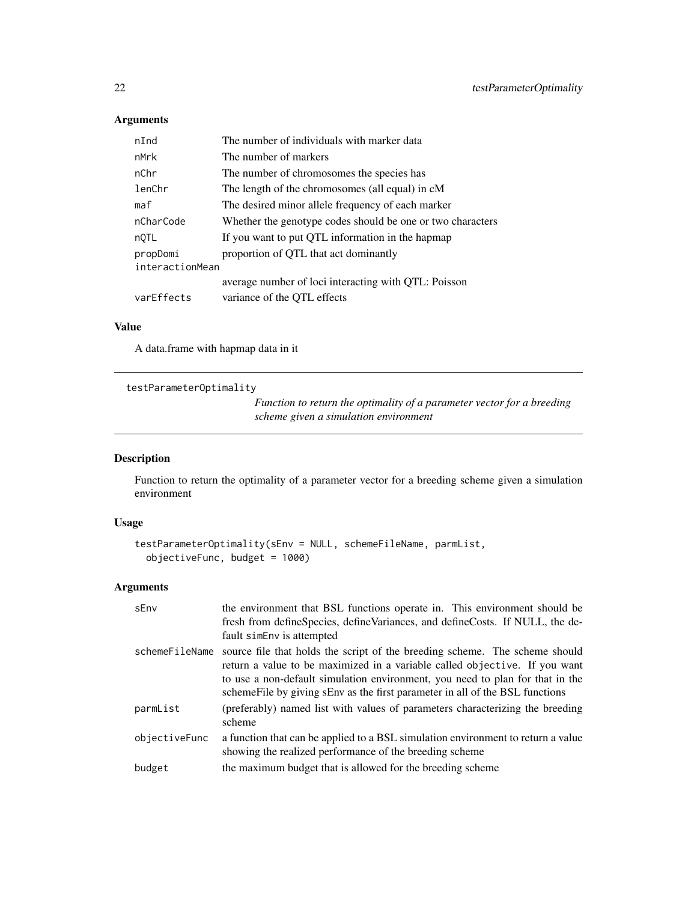### Arguments

| nInd            | The number of individuals with marker data                 |
|-----------------|------------------------------------------------------------|
| nMrk            | The number of markers                                      |
| nChr            | The number of chromosomes the species has                  |
| lenChr          | The length of the chromosomes (all equal) in cM            |
| maf             | The desired minor allele frequency of each marker          |
| nCharCode       | Whether the genotype codes should be one or two characters |
| nQTL            | If you want to put QTL information in the hapmap           |
| propDomi        | proportion of QTL that act dominantly                      |
| interactionMean |                                                            |
|                 | average number of loci interacting with QTL: Poisson       |
| varEffects      | variance of the QTL effects                                |

### Value

A data.frame with hapmap data in it

```
testParameterOptimality
```
*Function to return the optimality of a parameter vector for a breeding scheme given a simulation environment*

### Description

Function to return the optimality of a parameter vector for a breeding scheme given a simulation environment

### Usage

```
testParameterOptimality(sEnv = NULL, schemeFileName, parmList,
 objectiveFunc, budget = 1000)
```

| sEnv           | the environment that BSL functions operate in. This environment should be<br>fresh from defineSpecies, defineVariances, and defineCosts. If NULL, the de-<br>fault siment is attempted                                                                                                                                      |
|----------------|-----------------------------------------------------------------------------------------------------------------------------------------------------------------------------------------------------------------------------------------------------------------------------------------------------------------------------|
| schemeFileName | source file that holds the script of the breeding scheme. The scheme should<br>return a value to be maximized in a variable called objective. If you want<br>to use a non-default simulation environment, you need to plan for that in the<br>scheme File by giving sEnv as the first parameter in all of the BSL functions |
| parmList       | (preferably) named list with values of parameters characterizing the breeding<br>scheme                                                                                                                                                                                                                                     |
| objectiveFunc  | a function that can be applied to a BSL simulation environment to return a value<br>showing the realized performance of the breeding scheme                                                                                                                                                                                 |
| budget         | the maximum budget that is allowed for the breeding scheme                                                                                                                                                                                                                                                                  |

<span id="page-21-0"></span>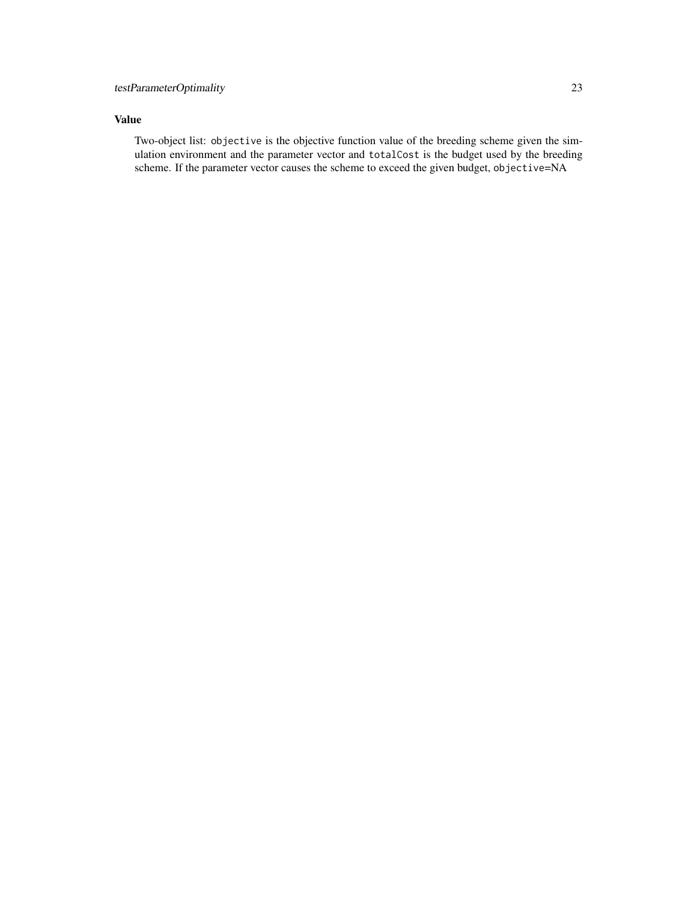Two-object list: objective is the objective function value of the breeding scheme given the simulation environment and the parameter vector and totalCost is the budget used by the breeding scheme. If the parameter vector causes the scheme to exceed the given budget, objective=NA